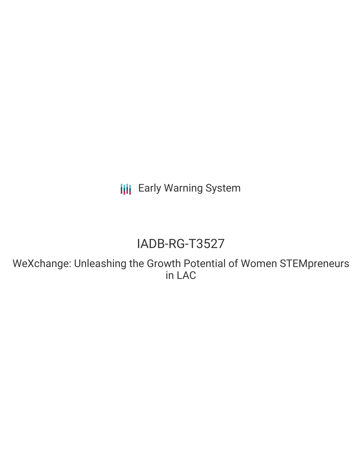**III** Early Warning System

# IADB-RG-T3527

WeXchange: Unleashing the Growth Potential of Women STEMpreneurs in LAC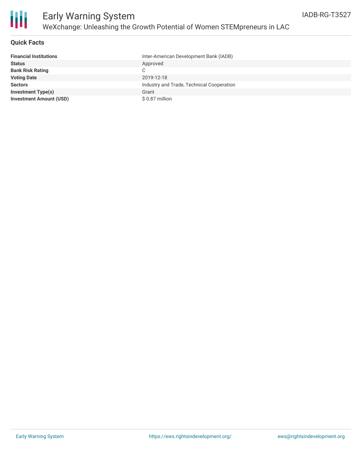

### **Quick Facts**

| <b>Financial Institutions</b>  | Inter-American Development Bank (IADB)    |
|--------------------------------|-------------------------------------------|
| <b>Status</b>                  | Approved                                  |
| <b>Bank Risk Rating</b>        | C                                         |
| <b>Voting Date</b>             | 2019-12-18                                |
| <b>Sectors</b>                 | Industry and Trade, Technical Cooperation |
| <b>Investment Type(s)</b>      | Grant                                     |
| <b>Investment Amount (USD)</b> | \$0.87 million                            |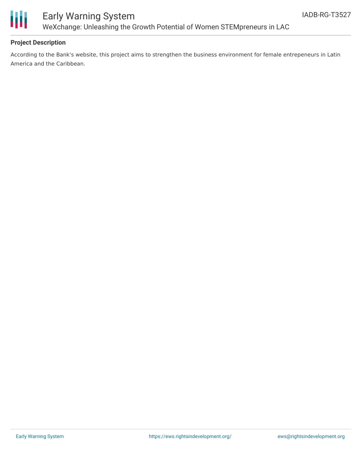

## Early Warning System WeXchange: Unleashing the Growth Potential of Women STEMpreneurs in LAC

### **Project Description**

According to the Bank's website, this project aims to strengthen the business environment for female entrepeneurs in Latin America and the Caribbean.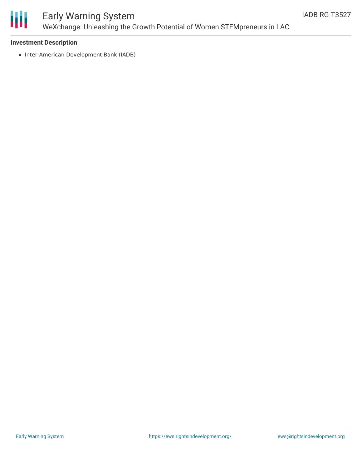

# Early Warning System WeXchange: Unleashing the Growth Potential of Women STEMpreneurs in LAC

#### **Investment Description**

• Inter-American Development Bank (IADB)